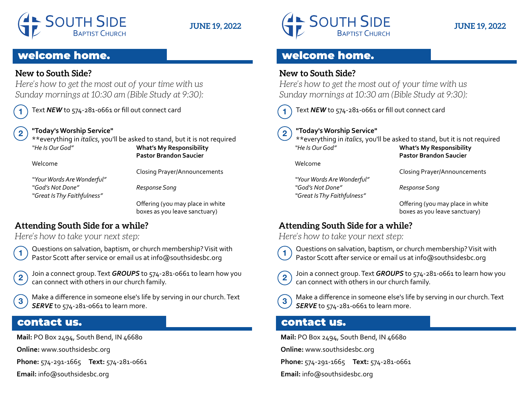

**JUNE 19, 2022**

# welcome home.

### **New to South Side?**

*Here's how to get the most out of your time with us Sunday mornings at 10:30 am (Bible Study at 9:30):*

**2**

**1** Text *NEW* to 574-281-0661 or fill out connect card

#### **"Today's Worship Service"**

\*\*everything in *italics*, you'll be asked to stand, but it is not required *"He Is Our God"* **What's My Responsibility Pastor Brandon Saucier**

Welcome

Closing Prayer/Announcements

*"Your Words Are Wonderful" "God's Not Done" "Great Is Thy Faithfulness"*

*Response Song*

Offering (you may place in white boxes as you leave sanctuary)

## **Attending South Side for a while?**

*Here's how to take your next step:*



Questions on salvation, baptism, or church membership? Visit with Pastor Scott after service or email us at info@southsidesbc.org



Join a connect group. Text **GROUPS** to 574-281-0661 to learn how you can connect with others in our church family.



Make a difference in someone else's life by serving in our church. Text **SERVE** to 574-281-0661 to learn more.

## contact us.

**Mail:** PO Box 2494, South Bend, IN 46680

**Online:** www.southsidesbc.org

**Phone:** 574-291-1665 **Text:** 574-281-0661

**Email:** info@southsidesbc.org



# welcome home.

### **New to South Side?**

*Here's how to get the most out of your time with us Sunday mornings at 10:30 am (Bible Study at 9:30):*



**1** Text *NEW* to 574-281-0661 or fill out connect card



#### **"Today's Worship Service"**

\*\*everything in *italics*, you'll be asked to stand, but it is not required *"He Is Our God"* **What's My Responsibility Pastor Brandon Saucier**

Welcome

*"Your Words Are Wonderful" "God's Not Done" "Great Is Thy Faithfulness"*

*Response Song*

Offering (you may place in white boxes as you leave sanctuary)

Closing Prayer/Announcements

## **Attending South Side for a while?**

*Here's how to take your next step:*



Questions on salvation, baptism, or church membership? Visit with Pastor Scott after service or email us at info@southsidesbc.org



Join a connect group. Text **GROUPS** to 574-281-0661 to learn how you can connect with others in our church family.



Make a difference in someone else's life by serving in our church. Text **SERVE** to 574-281-0661 to learn more.

## contact us.

**Mail:** PO Box 2494, South Bend, IN 46680 **Online:** www.southsidesbc.org **Phone:** 574-291-1665 **Text:** 574-281-0661 **Email:** info@southsidesbc.org